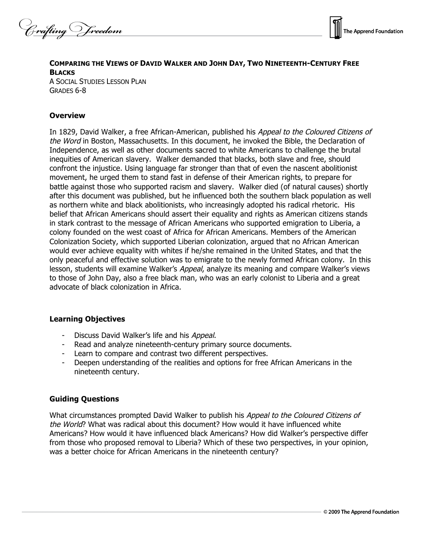Crafting Vreedom



# **COMPARING THE VIEWS OF DAVID WALKER AND JOHN DAY, TWO NINETEENTH-CENTURY FREE BLACKS**

A SOCIAL STUDIES LESSON PLAN GRADES 6-8

## **Overview**

In 1829, David Walker, a free African-American, published his Appeal to the Coloured Citizens of the Word in Boston, Massachusetts. In this document, he invoked the Bible, the Declaration of Independence, as well as other documents sacred to white Americans to challenge the brutal inequities of American slavery. Walker demanded that blacks, both slave and free, should confront the injustice. Using language far stronger than that of even the nascent abolitionist movement, he urged them to stand fast in defense of their American rights, to prepare for battle against those who supported racism and slavery. Walker died (of natural causes) shortly after this document was published, but he influenced both the southern black population as well as northern white and black abolitionists, who increasingly adopted his radical rhetoric. His belief that African Americans should assert their equality and rights as American citizens stands in stark contrast to the message of African Americans who supported emigration to Liberia, a colony founded on the west coast of Africa for African Americans. Members of the American Colonization Society, which supported Liberian colonization, argued that no African American would ever achieve equality with whites if he/she remained in the United States, and that the only peaceful and effective solution was to emigrate to the newly formed African colony. In this lesson, students will examine Walker's Appeal, analyze its meaning and compare Walker's views to those of John Day, also a free black man, who was an early colonist to Liberia and a great advocate of black colonization in Africa.

## **Learning Objectives**

- Discuss David Walker's life and his Appeal.
- Read and analyze nineteenth-century primary source documents.
- Learn to compare and contrast two different perspectives.
- Deepen understanding of the realities and options for free African Americans in the nineteenth century.

## **Guiding Questions**

What circumstances prompted David Walker to publish his *Appeal to the Coloured Citizens of* the World? What was radical about this document? How would it have influenced white Americans? How would it have influenced black Americans? How did Walker's perspective differ from those who proposed removal to Liberia? Which of these two perspectives, in your opinion, was a better choice for African Americans in the nineteenth century?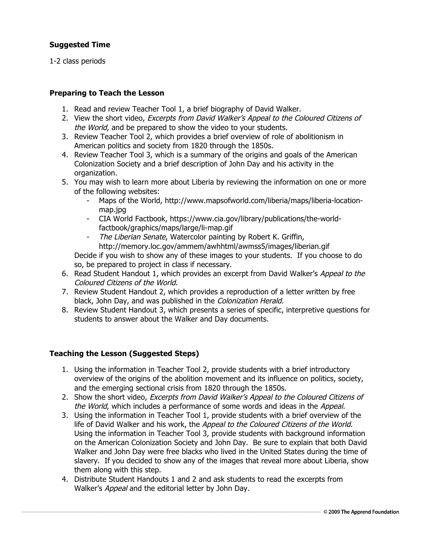## **Suggested Time**

1-2 class periods

## **Preparing to Teach the Lesson**

- 1. Read and review Teacher Tool 1, a brief biography of David Walker.
- 2. View the short video, Excerpts from David Walker's Appeal to the Coloured Citizens of the World, and be prepared to show the video to your students.
- 3. Review Teacher Tool 2, which provides a brief overview of role of abolitionism in American politics and society from 1820 through the 1850s.
- 4. Review Teacher Tool 3, which is a summary of the origins and goals of the American Colonization Society and a brief description of John Day and his activity in the organization.
- 5. You may wish to learn more about Liberia by reviewing the information on one or more of the following websites:
	- Maps of the World, http://www.mapsofworld.com/liberia/maps/liberia-locationmap.jpg
	- CIA World Factbook, https://www.cia.gov/library/publications/the-worldfactbook/graphics/maps/large/li-map.gif
	- The Liberian Senate, Watercolor painting by Robert K. Griffin, http://memory.loc.gov/ammem/awhhtml/awmss5/images/liberian.gif

Decide if you wish to show any of these images to your students. If you choose to do so, be prepared to project in class if necessary.

- 6. Read Student Handout 1, which provides an excerpt from David Walker's Appeal to the Coloured Citizens of the World.
- 7. Review Student Handout 2, which provides a reproduction of a letter written by free black, John Day, and was published in the Colonization Herald.
- 8. Review Student Handout 3, which presents a series of specific, interpretive questions for students to answer about the Walker and Day documents.

## **Teaching the Lesson (Suggested Steps)**

- 1. Using the information in Teacher Tool 2, provide students with a brief introductory overview of the origins of the abolition movement and its influence on politics, society, and the emerging sectional crisis from 1820 through the 1850s.
- 2. Show the short video, Excerpts from David Walker's Appeal to the Coloured Citizens of the World, which includes a performance of some words and ideas in the Appeal.
- 3. Using the information in Teacher Tool 1, provide students with a brief overview of the life of David Walker and his work, the Appeal to the Coloured Citizens of the World. Using the information in Teacher Tool 3, provide students with background information on the American Colonization Society and John Day. Be sure to explain that both David Walker and John Day were free blacks who lived in the United States during the time of slavery. If you decided to show any of the images that reveal more about Liberia, show them along with this step.
- 4. Distribute Student Handouts 1 and 2 and ask students to read the excerpts from Walker's Appeal and the editorial letter by John Day.